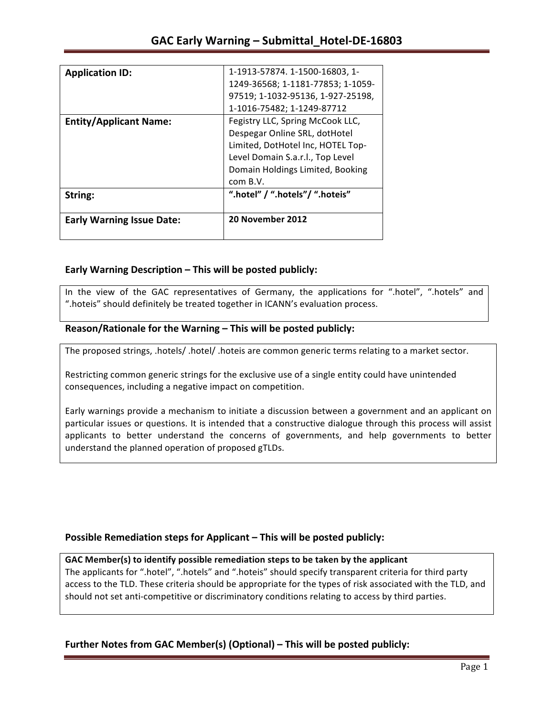| <b>Application ID:</b>           | 1-1913-57874. 1-1500-16803, 1-    |
|----------------------------------|-----------------------------------|
|                                  |                                   |
|                                  | 1249-36568; 1-1181-77853; 1-1059- |
|                                  | 97519; 1-1032-95136, 1-927-25198, |
|                                  | 1-1016-75482; 1-1249-87712        |
| <b>Entity/Applicant Name:</b>    | Fegistry LLC, Spring McCook LLC,  |
|                                  | Despegar Online SRL, dotHotel     |
|                                  | Limited, DotHotel Inc, HOTEL Top- |
|                                  | Level Domain S.a.r.l., Top Level  |
|                                  | Domain Holdings Limited, Booking  |
|                                  | com B.V.                          |
| String:                          | ".hotel" / ".hotels"/ ".hoteis"   |
| <b>Early Warning Issue Date:</b> | 20 November 2012                  |
|                                  |                                   |

## **Early Warning Description – This will be posted publicly:**

In the view of the GAC representatives of Germany, the applications for ".hotel", ".hotels" and ".hoteis" should definitely be treated together in ICANN's evaluation process.

## Reason/Rationale for the Warning – This will be posted publicly:

The proposed strings, .hotels/ .hotel/ .hoteis are common generic terms relating to a market sector.

Restricting common generic strings for the exclusive use of a single entity could have unintended consequences, including a negative impact on competition.

Early warnings provide a mechanism to initiate a discussion between a government and an applicant on particular issues or questions. It is intended that a constructive dialogue through this process will assist applicants to better understand the concerns of governments, and help governments to better understand the planned operation of proposed gTLDs.

## **Possible Remediation steps for Applicant – This will be posted publicly:**

### GAC Member(s) to identify possible remediation steps to be taken by the applicant

The applicants for ".hotel", ".hotels" and ".hoteis" should specify transparent criteria for third party access to the TLD. These criteria should be appropriate for the types of risk associated with the TLD, and should not set anti-competitive or discriminatory conditions relating to access by third parties.

## **Further Notes from GAC Member(s) (Optional)** – This will be posted publicly: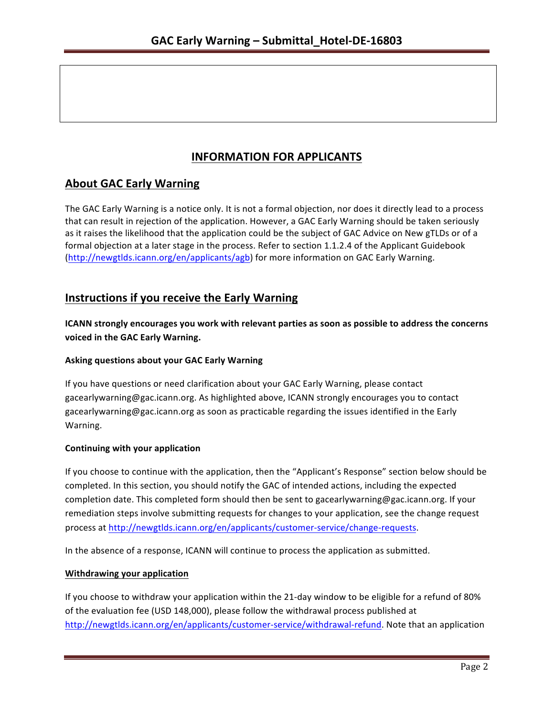# **INFORMATION FOR APPLICANTS**

# **About GAC Early Warning**

The GAC Early Warning is a notice only. It is not a formal objection, nor does it directly lead to a process that can result in rejection of the application. However, a GAC Early Warning should be taken seriously as it raises the likelihood that the application could be the subject of GAC Advice on New gTLDs or of a formal objection at a later stage in the process. Refer to section 1.1.2.4 of the Applicant Guidebook (http://newgtlds.icann.org/en/applicants/agb) for more information on GAC Early Warning.

## **Instructions if you receive the Early Warning**

**ICANN** strongly encourages you work with relevant parties as soon as possible to address the concerns **voiced in the GAC Early Warning.** 

### **Asking questions about your GAC Early Warning**

If you have questions or need clarification about your GAC Early Warning, please contact gacearlywarning@gac.icann.org. As highlighted above, ICANN strongly encourages you to contact gacearlywarning@gac.icann.org as soon as practicable regarding the issues identified in the Early Warning. 

### **Continuing with your application**

If you choose to continue with the application, then the "Applicant's Response" section below should be completed. In this section, you should notify the GAC of intended actions, including the expected completion date. This completed form should then be sent to gacearlywarning@gac.icann.org. If your remediation steps involve submitting requests for changes to your application, see the change request process at http://newgtlds.icann.org/en/applicants/customer-service/change-requests.

In the absence of a response, ICANN will continue to process the application as submitted.

### **Withdrawing your application**

If you choose to withdraw your application within the 21-day window to be eligible for a refund of 80% of the evaluation fee (USD 148,000), please follow the withdrawal process published at http://newgtlds.icann.org/en/applicants/customer-service/withdrawal-refund. Note that an application